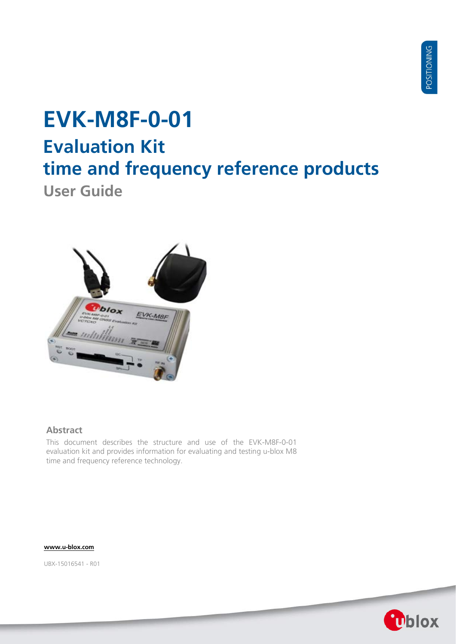# **EVK-M8F-0-01 Evaluation Kit time and frequency reference products**

**User Guide**



### **Abstract**

This document describes the structure and use of the EVK-M8F-0-01 evaluation kit and provides information for evaluating and testing u-blox M8 time and frequency reference technology.

**[www.u-blox.com](http://www.u-blox.com/)**

UBX-15016541 - R01

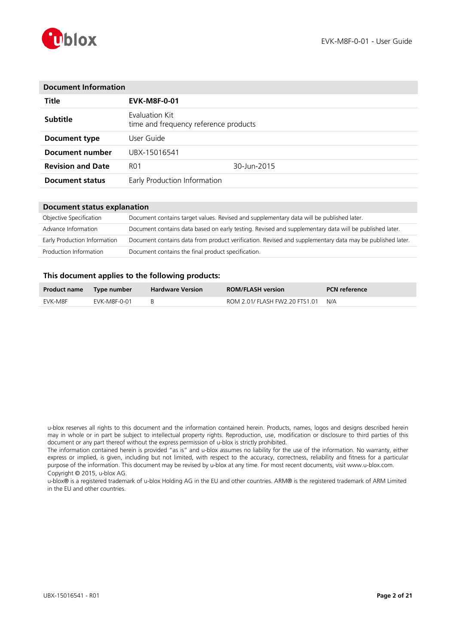

| <b>Document Information</b> |                                                         |             |  |
|-----------------------------|---------------------------------------------------------|-------------|--|
| <b>Title</b>                | <b>EVK-M8F-0-01</b>                                     |             |  |
| <b>Subtitle</b>             | Evaluation Kit<br>time and frequency reference products |             |  |
| Document type               | User Guide.                                             |             |  |
| Document number             | UBX-15016541                                            |             |  |
| <b>Revision and Date</b>    | R <sub>0</sub> 1                                        | 30-Jun-2015 |  |
| <b>Document status</b>      | Early Production Information                            |             |  |

### **Document status explanation**

| Objective Specification      | Document contains target values. Revised and supplementary data will be published later.                 |
|------------------------------|----------------------------------------------------------------------------------------------------------|
| Advance Information          | Document contains data based on early testing. Revised and supplementary data will be published later.   |
| Early Production Information | Document contains data from product verification. Revised and supplementary data may be published later. |
| Production Information       | Document contains the final product specification.                                                       |

### **This document applies to the following products:**

| Product name Type number |              | <b>Hardware Version</b> | <b>ROM/FLASH version</b>       | <b>PCN</b> reference |
|--------------------------|--------------|-------------------------|--------------------------------|----------------------|
| EVK-M8F                  | EVK-M8F-0-01 |                         | ROM 2.01/ FLASH FW2.20 FTS1.01 | N/A                  |

u-blox reserves all rights to this document and the information contained herein. Products, names, logos and designs described herein may in whole or in part be subject to intellectual property rights. Reproduction, use, modification or disclosure to third parties of this document or any part thereof without the express permission of u-blox is strictly prohibited.

The information contained herein is provided "as is" and u-blox assumes no liability for the use of the information. No warranty, either express or implied, is given, including but not limited, with respect to the accuracy, correctness, reliability and fitness for a particular purpose of the information. This document may be revised by u-blox at any time. For most recent documents, visit www.u-blox.com. Copyright © 2015, u-blox AG.

u-blox® is a registered trademark of u-blox Holding AG in the EU and other countries. ARM® is the registered trademark of ARM Limited in the EU and other countries.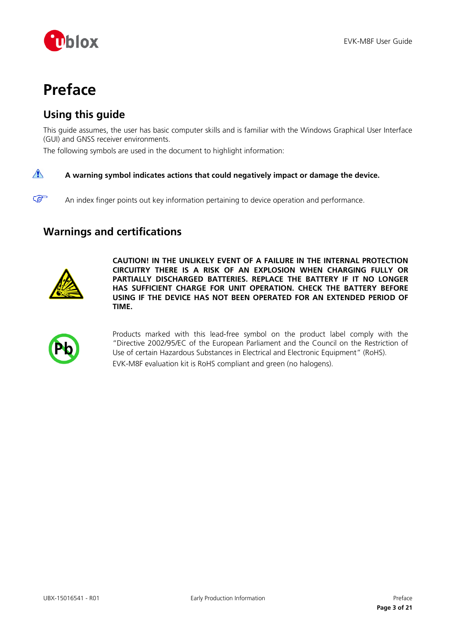

# <span id="page-2-0"></span>**Preface**

## <span id="page-2-1"></span>**Using this guide**

This guide assumes, the user has basic computer skills and is familiar with the Windows Graphical User Interface (GUI) and GNSS receiver environments.

The following symbols are used in the document to highlight information:

#### $\bigwedge$ **A warning symbol indicates actions that could negatively impact or damage the device.**

An index finger points out key information pertaining to device operation and performance.

## <span id="page-2-2"></span>**Warnings and certifications**



 $\mathbb{Q}$ 

**CAUTION! IN THE UNLIKELY EVENT OF A FAILURE IN THE INTERNAL PROTECTION CIRCUITRY THERE IS A RISK OF AN EXPLOSION WHEN CHARGING FULLY OR PARTIALLY DISCHARGED BATTERIES. REPLACE THE BATTERY IF IT NO LONGER HAS SUFFICIENT CHARGE FOR UNIT OPERATION. CHECK THE BATTERY BEFORE USING IF THE DEVICE HAS NOT BEEN OPERATED FOR AN EXTENDED PERIOD OF TIME.**



Products marked with this lead-free symbol on the product label comply with the "Directive 2002/95/EC of the European Parliament and the Council on the Restriction of Use of certain Hazardous Substances in Electrical and Electronic Equipment" (RoHS). EVK-M8F evaluation kit is RoHS compliant and green (no halogens).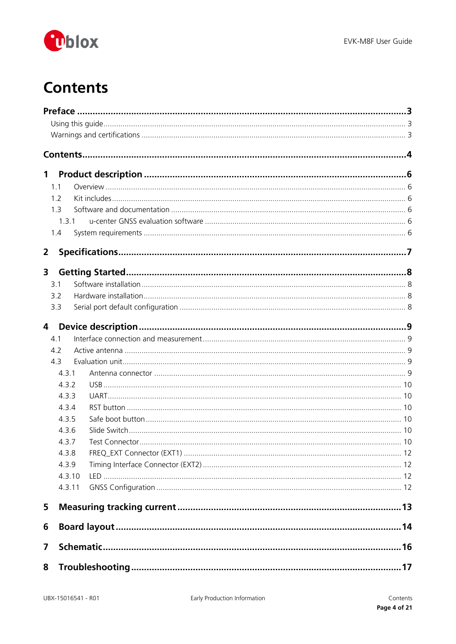

# <span id="page-3-0"></span>**Contents**

| $\mathbf 1$    |            |  |  |  |  |
|----------------|------------|--|--|--|--|
|                | 1.1        |  |  |  |  |
|                | 1.2        |  |  |  |  |
|                | 1.3        |  |  |  |  |
|                | 1.3.1      |  |  |  |  |
|                | 1.4        |  |  |  |  |
| $\overline{2}$ |            |  |  |  |  |
| 3              |            |  |  |  |  |
|                | 3.1        |  |  |  |  |
|                | 3.2        |  |  |  |  |
|                | 3.3        |  |  |  |  |
|                |            |  |  |  |  |
| 4              |            |  |  |  |  |
|                | 4.1<br>4.2 |  |  |  |  |
|                | 4.3        |  |  |  |  |
|                | 4.3.1      |  |  |  |  |
|                | 4.3.2      |  |  |  |  |
|                | 4.3.3      |  |  |  |  |
|                | 4.3.4      |  |  |  |  |
|                | 4.3.5      |  |  |  |  |
|                | 4.3.6      |  |  |  |  |
|                | 4.3.7      |  |  |  |  |
|                | 4.3.8      |  |  |  |  |
|                | 4.3.9      |  |  |  |  |
|                | 4.3.10     |  |  |  |  |
|                | 4.3.11     |  |  |  |  |
| 5              |            |  |  |  |  |
| 6              |            |  |  |  |  |
| 7              |            |  |  |  |  |
| 8              |            |  |  |  |  |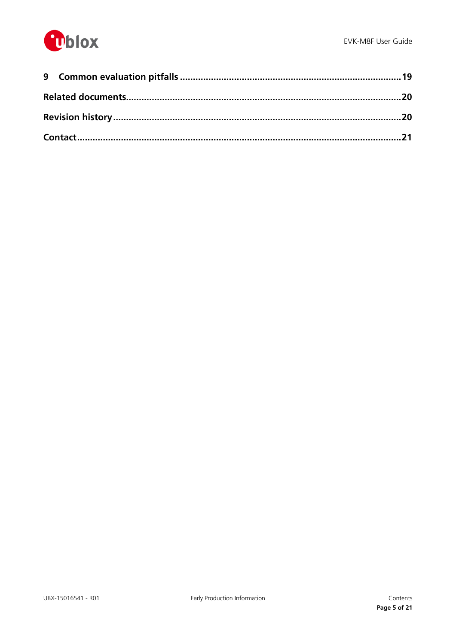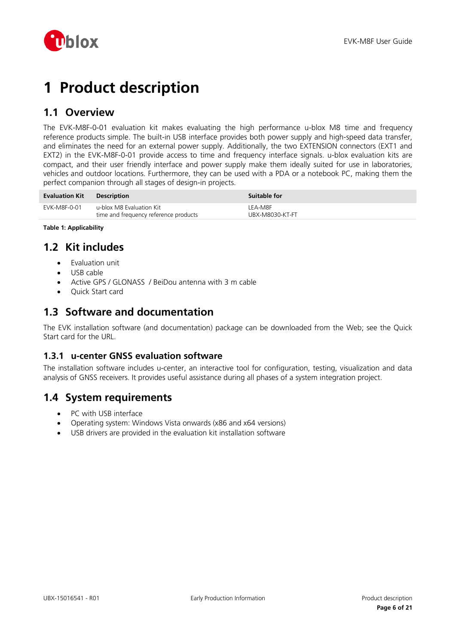

# <span id="page-5-0"></span>**1 Product description**

## <span id="page-5-1"></span>**1.1 Overview**

The EVK-M8F-0-01 evaluation kit makes evaluating the high performance u-blox M8 time and frequency reference products simple. The built-in USB interface provides both power supply and high-speed data transfer, and eliminates the need for an external power supply. Additionally, the two EXTENSION connectors (EXT1 and EXT2) in the EVK-M8F-0-01 provide access to time and frequency interface signals. u-blox evaluation kits are compact, and their user friendly interface and power supply make them ideally suited for use in laboratories, vehicles and outdoor locations. Furthermore, they can be used with a PDA or a notebook PC, making them the perfect companion through all stages of design-in projects.

| <b>Evaluation Kit</b> | <b>Description</b>                                                | Suitable for               |
|-----------------------|-------------------------------------------------------------------|----------------------------|
| EVK-M8F-0-01          | u-blox M8 Evaluation Kit<br>time and frequency reference products | LEA-M8F<br>UBX-M8030-KT-FT |

**Table 1: Applicability**

## <span id="page-5-2"></span>**1.2 Kit includes**

- Evaluation unit
- USB cable
- Active GPS / GLONASS / BeiDou antenna with 3 m cable
- Quick Start card

## <span id="page-5-3"></span>**1.3 Software and documentation**

The EVK installation software (and documentation) package can be downloaded from the Web; see the Quick Start card for the URL.

## <span id="page-5-4"></span>**1.3.1 u-center GNSS evaluation software**

The installation software includes u-center, an interactive tool for configuration, testing, visualization and data analysis of GNSS receivers. It provides useful assistance during all phases of a system integration project.

## <span id="page-5-5"></span>**1.4 System requirements**

- PC with USB interface
- Operating system: Windows Vista onwards (x86 and x64 versions)
- USB drivers are provided in the evaluation kit installation software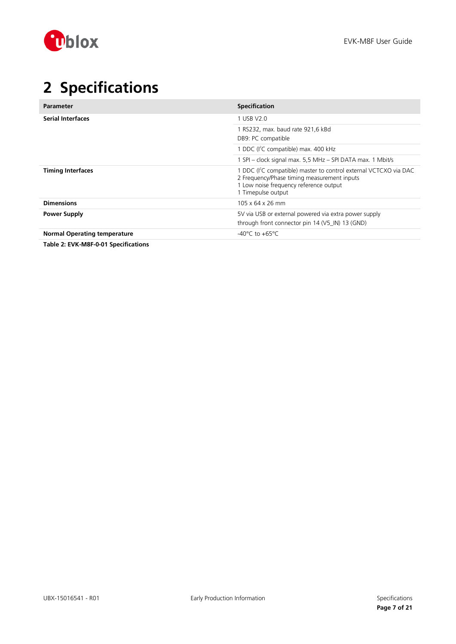

# <span id="page-6-0"></span>**2 Specifications**

| Parameter                           | <b>Specification</b>                                                                                                                                                                         |
|-------------------------------------|----------------------------------------------------------------------------------------------------------------------------------------------------------------------------------------------|
| <b>Serial Interfaces</b>            | 1 USB V2.0                                                                                                                                                                                   |
|                                     | 1 RS232, max. baud rate 921,6 kBd<br>DB9: PC compatible                                                                                                                                      |
|                                     | 1 DDC (I <sup>2</sup> C compatible) max. 400 kHz                                                                                                                                             |
|                                     | 1 SPI - clock signal max. 5,5 MHz - SPI DATA max. 1 Mbit/s                                                                                                                                   |
| <b>Timing Interfaces</b>            | 1 DDC (I <sup>2</sup> C compatible) master to control external VCTCXO via DAC<br>2 Frequency/Phase timing measurement inputs<br>1 Low noise frequency reference output<br>1 Timepulse output |
| <b>Dimensions</b>                   | 105 x 64 x 26 mm                                                                                                                                                                             |
| Power Supply                        | 5V via USB or external powered via extra power supply<br>through front connector pin 14 (V5_IN) 13 (GND)                                                                                     |
| <b>Normal Operating temperature</b> | $-40^{\circ}$ C to $+65^{\circ}$ C                                                                                                                                                           |

**Table 2: EVK-M8F-0-01 Specifications**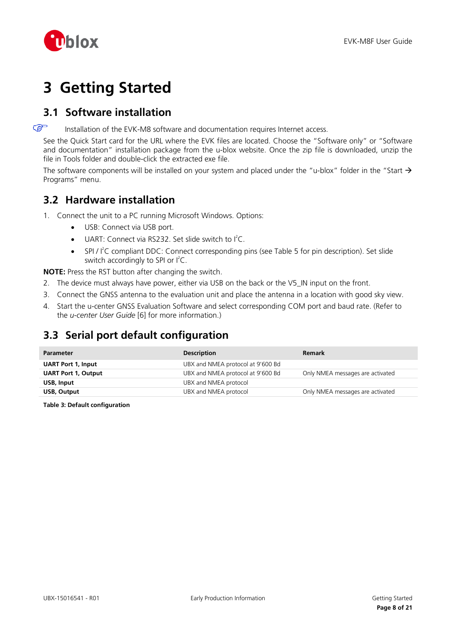

# <span id="page-7-0"></span>**3 Getting Started**

## <span id="page-7-1"></span>**3.1 Software installation**

 $\mathbb{F}$ Installation of the EVK-M8 software and documentation requires Internet access.

See the Quick Start card for the URL where the EVK files are located. Choose the "Software only" or "Software and documentation" installation package from the u-blox website. Once the zip file is downloaded, unzip the file in Tools folder and double-click the extracted exe file.

The software components will be installed on your system and placed under the "u-blox" folder in the "Start  $\rightarrow$ Programs" menu.

## <span id="page-7-2"></span>**3.2 Hardware installation**

- 1. Connect the unit to a PC running Microsoft Windows. Options:
	- USB: Connect via USB port.
	- $\bullet$  UART: Connect via RS232. Set slide switch to  $I^2C$ .
	- SPI /  $l^2C$  compliant DDC: Connect corresponding pins (see [Table 5](#page-10-0) for pin description). Set slide switch accordingly to SPI or  $I^2C$ .

**NOTE:** Press the RST button after changing the switch.

- 2. The device must always have power, either via USB on the back or the V5\_IN input on the front.
- 3. Connect the GNSS antenna to the evaluation unit and place the antenna in a location with good sky view.
- 4. Start the u-center GNSS Evaluation Software and select corresponding COM port and baud rate. (Refer to the *u-center User Guide* [\[6\]](#page-19-2) for more information.)

## <span id="page-7-3"></span>**3.3 Serial port default configuration**

| <b>Parameter</b>           | <b>Description</b>                | <b>Remark</b>                    |
|----------------------------|-----------------------------------|----------------------------------|
| <b>UART Port 1, Input</b>  | UBX and NMEA protocol at 9'600 Bd |                                  |
| <b>UART Port 1, Output</b> | UBX and NMEA protocol at 9'600 Bd | Only NMEA messages are activated |
| USB, Input                 | UBX and NMEA protocol             |                                  |
| USB, Output                | UBX and NMEA protocol             | Only NMEA messages are activated |

**Table 3: Default configuration**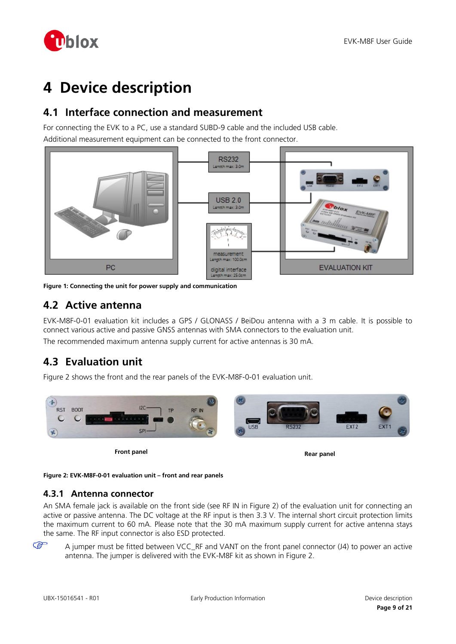

# <span id="page-8-0"></span>**4 Device description**

## <span id="page-8-1"></span>**4.1 Interface connection and measurement**

For connecting the EVK to a PC, use a standard SUBD-9 cable and the included USB cable. Additional measurement equipment can be connected to the front connector.



**Figure 1: Connecting the unit for power supply and communication**

## <span id="page-8-2"></span>**4.2 Active antenna**

EVK-M8F-0-01 evaluation kit includes a GPS / GLONASS / BeiDou antenna with a 3 m cable. It is possible to connect various active and passive GNSS antennas with SMA connectors to the evaluation unit. The recommended maximum antenna supply current for active antennas is 30 mA.

## <span id="page-8-3"></span>**4.3 Evaluation unit**

[Figure 2](#page-8-5) shows the front and the rear panels of the EVK-M8F-0-01 evaluation unit.



**Front panel Rear panel Rear panel Rear panel** 

<span id="page-8-5"></span>**Figure 2: EVK-M8F-0-01 evaluation unit – front and rear panels**

### <span id="page-8-4"></span>**4.3.1 Antenna connector**

An SMA female jack is available on the front side (see RF IN in [Figure 2\)](#page-8-5) of the evaluation unit for connecting an active or passive antenna. The DC voltage at the RF input is then 3.3 V. The internal short circuit protection limits the maximum current to 60 mA. Please note that the 30 mA maximum supply current for active antenna stays the same. The RF input connector is also ESD protected.

A jumper must be fitted between VCC\_RF and VANT on the front panel connector (J4) to power an active antenna. The jumper is delivered with the EVK-M8F kit as shown in [Figure 2.](#page-8-5)

 $\mathbb{G}$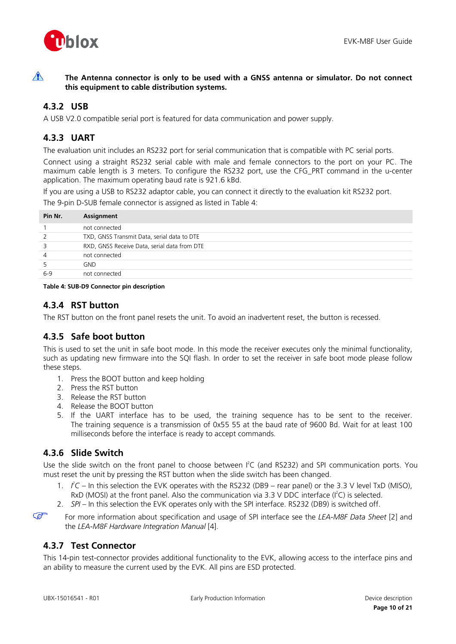

 $\bigwedge$ **The Antenna connector is only to be used with a GNSS antenna or simulator. Do not connect this equipment to cable distribution systems.**

## <span id="page-9-0"></span>**4.3.2 USB**

A USB V2.0 compatible serial port is featured for data communication and power supply.

### <span id="page-9-1"></span>**4.3.3 UART**

The evaluation unit includes an RS232 port for serial communication that is compatible with PC serial ports.

Connect using a straight RS232 serial cable with male and female connectors to the port on your PC. The maximum cable length is 3 meters. To configure the RS232 port, use the CFG\_PRT command in the u-center application. The maximum operating baud rate is 921.6 kBd.

If you are using a USB to RS232 adaptor cable, you can connect it directly to the evaluation kit RS232 port. The 9-pin D-SUB female connector is assigned as listed in [Table 4:](#page-9-6)

| Pin Nr.        | Assignment                                   |
|----------------|----------------------------------------------|
|                | not connected                                |
| 2              | TXD, GNSS Transmit Data, serial data to DTE  |
| 3              | RXD, GNSS Receive Data, serial data from DTE |
| $\overline{4}$ | not connected                                |
| 5              | GND.                                         |
| $6-9$          | not connected                                |
|                |                                              |

<span id="page-9-6"></span>**Table 4: SUB-D9 Connector pin description**

### <span id="page-9-2"></span>**4.3.4 RST button**

The RST button on the front panel resets the unit. To avoid an inadvertent reset, the button is recessed.

## <span id="page-9-3"></span>**4.3.5 Safe boot button**

This is used to set the unit in safe boot mode. In this mode the receiver executes only the minimal functionality, such as updating new firmware into the SQI flash. In order to set the receiver in safe boot mode please follow these steps.

- 1. Press the BOOT button and keep holding
- 2. Press the RST button
- 3. Release the RST button
- 4. Release the BOOT button
- 5. If the UART interface has to be used, the training sequence has to be sent to the receiver. The training sequence is a transmission of 0x55 55 at the baud rate of 9600 Bd. Wait for at least 100 milliseconds before the interface is ready to accept commands.

## <span id="page-9-4"></span>**4.3.6 Slide Switch**

Use the slide switch on the front panel to choose between I<sup>2</sup>C (and RS232) and SPI communication ports. You must reset the unit by pressing the RST button when the slide switch has been changed.

- 1.  $\angle$   $\angle$   $\angle$  In this selection the EVK operates with the RS232 (DB9 rear panel) or the 3.3 V level TxD (MISO), RxD (MOSI) at the front panel. Also the communication via 3.3 V DDC interface ( $I^2C$ ) is selected.
- 2. *SPI –* In this selection the EVK operates only with the SPI interface. RS232 (DB9) is switched off.

 $\mathbb{Q}$ 

For more information about specification and usage of SPI interface see the *LEA-M8F Data Sheet* [\[2\]](#page-19-3) and the *LEA-M8F Hardware Integration Manual* [\[4\].](#page-19-4)

## <span id="page-9-5"></span>**4.3.7 Test Connector**

This 14-pin test-connector provides additional functionality to the EVK, allowing access to the interface pins and an ability to measure the current used by the EVK. All pins are ESD protected.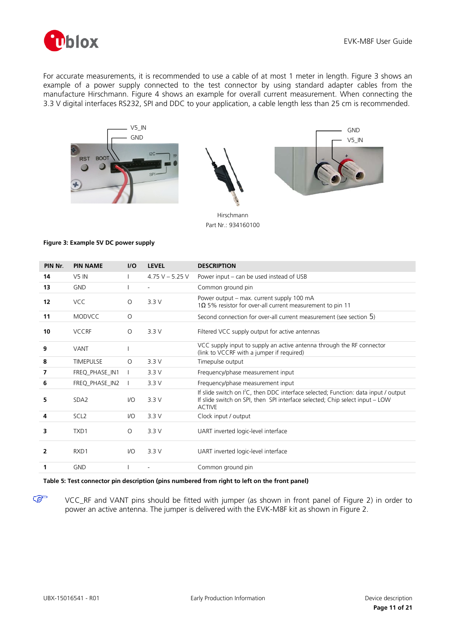

For accurate measurements, it is recommended to use a cable of at most 1 meter in length. [Figure 3](#page-10-1) shows an example of a power supply connected to the test connector by using standard adapter cables from the manufacture Hirschmann. [Figure 4](#page-12-1) shows an example for overall current measurement. When connecting the 3.3 V digital interfaces RS232, SPI and DDC to your application, a cable length less than 25 cm is recommended.







Hirschmann Part Nr.: 934160100

#### <span id="page-10-1"></span>**Figure 3: Example 5V DC power supply**

| PIN Nr. | <b>PIN NAME</b>  | I/O      | <b>LEVEL</b>      | <b>DESCRIPTION</b>                                                                                                                                                                               |
|---------|------------------|----------|-------------------|--------------------------------------------------------------------------------------------------------------------------------------------------------------------------------------------------|
| 14      | $V5$ IN          |          | 4.75 V $-$ 5.25 V | Power input – can be used instead of USB                                                                                                                                                         |
| 13      | <b>GND</b>       |          |                   | Common ground pin                                                                                                                                                                                |
| 12      | <b>VCC</b>       | $\Omega$ | 3.3V              | Power output - max. current supply 100 mA<br>1 $\Omega$ 5% resistor for over-all current measurement to pin 11                                                                                   |
| 11      | <b>MODVCC</b>    | $\circ$  |                   | Second connection for over-all current measurement (see section 5)                                                                                                                               |
| 10      | <b>VCCRF</b>     | $\Omega$ | 3.3V              | Filtered VCC supply output for active antennas                                                                                                                                                   |
| 9       | <b>VANT</b>      |          |                   | VCC supply input to supply an active antenna through the RF connector<br>(link to VCCRF with a jumper if required)                                                                               |
| 8       | <b>TIMEPULSE</b> | $\circ$  | 3.3V              | Timepulse output                                                                                                                                                                                 |
| 7       | FREQ_PHASE_IN1   |          | 3.3V              | Frequency/phase measurement input                                                                                                                                                                |
| 6       | FREQ_PHASE_IN2   |          | 3.3V              | Frequency/phase measurement input                                                                                                                                                                |
| 5       | SDA <sub>2</sub> | $U$      | 3.3V              | If slide switch on I <sup>2</sup> C, then DDC interface selected; Function: data input / output<br>If slide switch on SPI, then SPI interface selected; Chip select input - LOW<br><b>ACTIVE</b> |
| 4       | SCL <sub>2</sub> | $U$      | 3.3V              | Clock input / output                                                                                                                                                                             |
| 3       | TXD1             | $\circ$  | 3.3V              | UART inverted logic-level interface                                                                                                                                                              |
| 2       | RXD1             | 1/O      | 3.3V              | UART inverted logic-level interface                                                                                                                                                              |
| 1       | <b>GND</b>       |          |                   | Common ground pin                                                                                                                                                                                |

### <span id="page-10-0"></span>**Table 5: Test connector pin description (pins numbered from right to left on the front panel)**

VCC\_RF and VANT pins should be fitted with jumper (as shown in front panel of [Figure 2\)](#page-8-5) in order to power an active antenna. The jumper is delivered with the EVK-M8F kit as shown in [Figure 2.](#page-8-5)

**PED**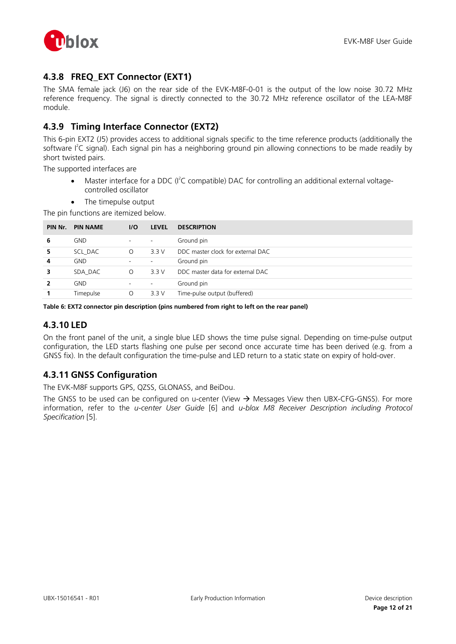

## <span id="page-11-0"></span>**4.3.8 FREQ\_EXT Connector (EXT1)**

The SMA female jack (J6) on the rear side of the EVK-M8F-0-01 is the output of the low noise 30.72 MHz reference frequency. The signal is directly connected to the 30.72 MHz reference oscillator of the LEA-M8F module.

## <span id="page-11-1"></span>**4.3.9 Timing Interface Connector (EXT2)**

This 6-pin EXT2 (J5) provides access to additional signals specific to the time reference products (additionally the software I<sup>2</sup>C signal). Each signal pin has a neighboring ground pin allowing connections to be made readily by short twisted pairs.

The supported interfaces are

- Master interface for a DDC (I<sup>2</sup>C compatible) DAC for controlling an additional external voltagecontrolled oscillator
- The timepulse output

The pin functions are itemized below.

| PIN Nr. | <b>PIN NAME</b> | 1/O                      | <b>LEVEL</b>             | <b>DESCRIPTION</b>                |
|---------|-----------------|--------------------------|--------------------------|-----------------------------------|
| 6       | <b>GND</b>      | $\overline{\phantom{a}}$ | $\overline{\phantom{a}}$ | Ground pin                        |
| 5.      | SCL DAC         | $\Omega$                 | 3.3V                     | DDC master clock for external DAC |
| 4       | <b>GND</b>      | $\overline{\phantom{a}}$ | $\overline{\phantom{a}}$ | Ground pin                        |
| 3       | SDA DAC         | $\circ$                  | 3.3V                     | DDC master data for external DAC  |
|         | <b>GND</b>      | $\overline{\phantom{a}}$ | $\overline{\phantom{a}}$ | Ground pin                        |
|         | Timepulse       | $\circ$                  | 3.3V                     | Time-pulse output (buffered)      |

#### **Table 6: EXT2 connector pin description (pins numbered from right to left on the rear panel)**

### <span id="page-11-2"></span>**4.3.10 LED**

On the front panel of the unit, a single blue LED shows the time pulse signal. Depending on time-pulse output configuration, the LED starts flashing one pulse per second once accurate time has been derived (e.g. from a GNSS fix). In the default configuration the time-pulse and LED return to a static state on expiry of hold-over.

### <span id="page-11-3"></span>**4.3.11 GNSS Configuration**

The EVK-M8F supports GPS, QZSS, GLONASS, and BeiDou.

The GNSS to be used can be configured on u-center (View  $\rightarrow$  Messages View then UBX-CFG-GNSS). For more information, refer to the *u-center User Guide* [\[6\]](#page-19-2) and *u-blox M8 Receiver Description including Protocol Specification* [\[5\].](#page-19-5)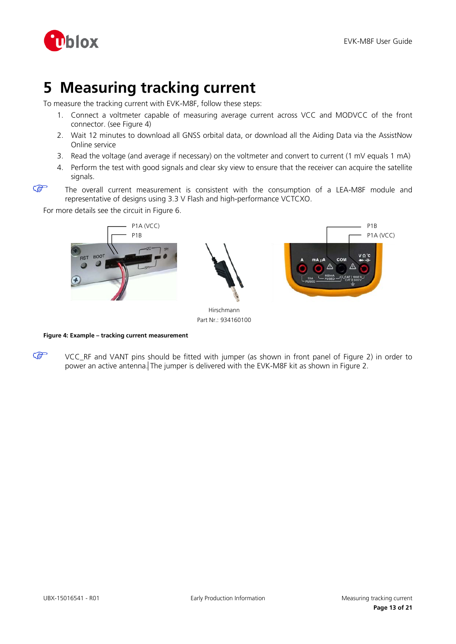

# <span id="page-12-0"></span>**5 Measuring tracking current**

To measure the tracking current with EVK-M8F, follow these steps:

- 1. Connect a voltmeter capable of measuring average current across VCC and MODVCC of the front connector. (see [Figure 4\)](#page-12-1)
- 2. Wait 12 minutes to download all GNSS orbital data, or download all the Aiding Data via the AssistNow Online service
- 3. Read the voltage (and average if necessary) on the voltmeter and convert to current (1 mV equals 1 mA)
- 4. Perform the test with good signals and clear sky view to ensure that the receiver can acquire the satellite signals.
- **PED**

The overall current measurement is consistent with the consumption of a LEA-M8F module and representative of designs using 3.3 V Flash and high-performance VCTCXO.

For more details see the circuit in [Figure 6.](#page-15-1)



Part Nr.: 934160100

<span id="page-12-1"></span>**Figure 4: Example – tracking current measurement**

G VCC\_RF and VANT pins should be fitted with jumper (as shown in front panel of Figure 2) in order to power an active antenna. The jumper is delivered with the EVK-M8F kit as shown in [Figure 2.](#page-8-5)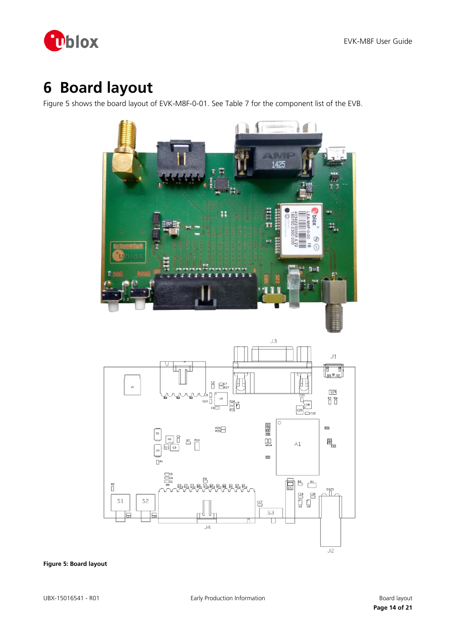

# <span id="page-13-0"></span>**6 Board layout**

[Figure 5](#page-13-1) shows the board layout of EVK-M8F-0-01. See [Table 7](#page-14-0) for the component list of the EVB.



<span id="page-13-1"></span>**Figure 5: Board layout**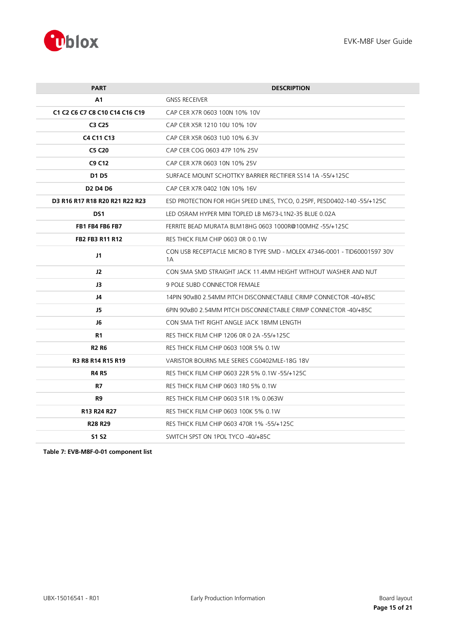

| <b>PART</b>                    | <b>DESCRIPTION</b>                                                             |  |
|--------------------------------|--------------------------------------------------------------------------------|--|
| A1                             | <b>GNSS RECEIVER</b>                                                           |  |
| C1 C2 C6 C7 C8 C10 C14 C16 C19 | CAP CER X7R 0603 100N 10% 10V                                                  |  |
| C3 C25                         | CAP CER X5R 1210 10U 10% 10V                                                   |  |
| C4 C11 C13                     | CAP CER X5R 0603 1U0 10% 6.3V                                                  |  |
| <b>C5 C20</b>                  | CAP CER COG 0603 47P 10% 25V                                                   |  |
| C9 C12                         | CAP CER X7R 0603 10N 10% 25V                                                   |  |
| D1 D5                          | SURFACE MOUNT SCHOTTKY BARRIER RECTIFIER SS14 1A -55/+125C                     |  |
| <b>D2 D4 D6</b>                | CAP CER X7R 0402 10N 10% 16V                                                   |  |
| D3 R16 R17 R18 R20 R21 R22 R23 | ESD PROTECTION FOR HIGH SPEED LINES, TYCO, 0.25PF, PESD0402-140-55/+125C       |  |
| DS1                            | LED OSRAM HYPER MINI TOPLED LB M673-L1N2-35 BLUE 0.02A                         |  |
| FB1 FB4 FB6 FB7                | FERRITE BEAD MURATA BLM18HG 0603 1000R@100MHZ -55/+125C                        |  |
| <b>FB2 FB3 R11 R12</b>         | RES THICK FILM CHIP 0603 OR 0 0.1W                                             |  |
| J1                             | CON USB RECEPTACLE MICRO B TYPE SMD - MOLEX 47346-0001 - TID60001597 30V<br>1Α |  |
| 12                             | CON SMA SMD STRAIGHT JACK 11.4MM HEIGHT WITHOUT WASHER AND NUT                 |  |
| J3                             | <b>9 POLE SUBD CONNECTOR FEMALE</b>                                            |  |
| J4                             | 14PIN 90\xB0 2.54MM PITCH DISCONNECTABLE CRIMP CONNECTOR -40/+85C              |  |
| J5                             | 6PIN 90\xB0 2.54MM PITCH DISCONNECTABLE CRIMP CONNECTOR -40/+85C               |  |
| J6                             | CON SMA THT RIGHT ANGLE JACK 18MM LENGTH                                       |  |
| R1                             | RES THICK FILM CHIP 1206 OR 0 2A -55/+125C                                     |  |
| <b>R2 R6</b>                   | RES THICK FILM CHIP 0603 100R 5% 0.1W                                          |  |
| <b>R3 R8 R14 R15 R19</b>       | VARISTOR BOURNS MLE SERIES CG0402MLE-18G 18V                                   |  |
| <b>R4 R5</b>                   | RES THICK FILM CHIP 0603 22R 5% 0.1W -55/+125C                                 |  |
| R7                             | RES THICK FILM CHIP 0603 1R0 5% 0.1W                                           |  |
| R9                             | RES THICK FILM CHIP 0603 51R 1% 0.063W                                         |  |
| R13 R24 R27                    | RES THICK FILM CHIP 0603 100K 5% 0.1W                                          |  |
| <b>R28 R29</b>                 | RES THICK FILM CHIP 0603 470R 1% -55/+125C                                     |  |
| S1 S2                          | SWITCH SPST ON 1POL TYCO -40/+85C                                              |  |
|                                |                                                                                |  |

<span id="page-14-0"></span>**Table 7: EVB-M8F-0-01 component list**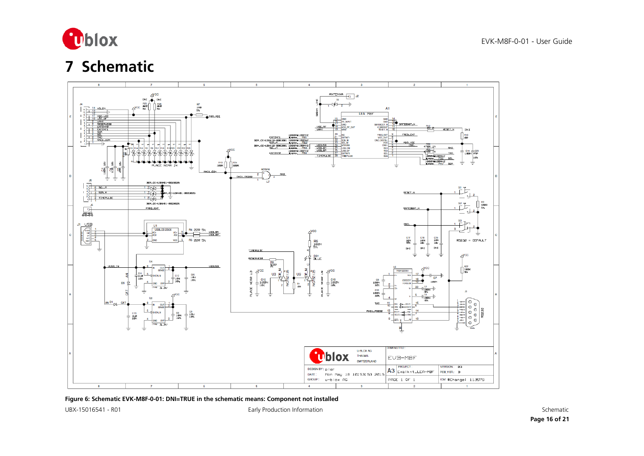

# **7 Schematic**



<span id="page-15-0"></span>**Figure 6: Schematic EVK-M8F-0-01: DNI=TRUE in the schematic means: Component not installed**

<span id="page-15-1"></span>

UBX-15016541 - R01 Early Production Information Schematic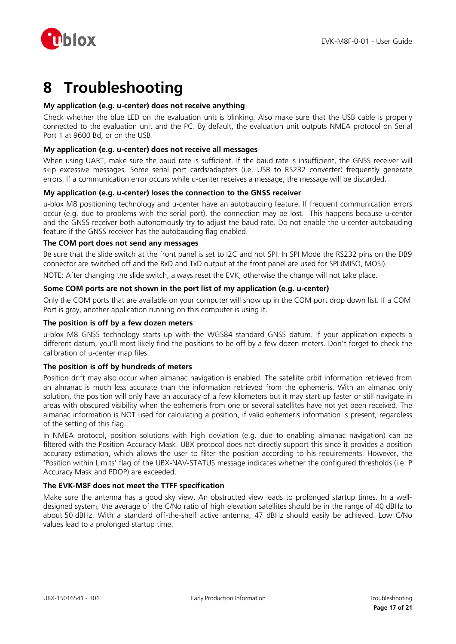

# <span id="page-16-0"></span>**8 Troubleshooting**

### **My application (e.g. u-center) does not receive anything**

Check whether the blue LED on the evaluation unit is blinking. Also make sure that the USB cable is properly connected to the evaluation unit and the PC. By default, the evaluation unit outputs NMEA protocol on Serial Port 1 at 9600 Bd, or on the USB.

### **My application (e.g. u-center) does not receive all messages**

When using UART, make sure the baud rate is sufficient. If the baud rate is insufficient, the GNSS receiver will skip excessive messages. Some serial port cards/adapters (i.e. USB to RS232 converter) frequently generate errors. If a communication error occurs while u-center receives a message, the message will be discarded.

### **My application (e.g. u-center) loses the connection to the GNSS receiver**

u-blox M8 positioning technology and u-center have an autobauding feature. If frequent communication errors occur (e.g. due to problems with the serial port), the connection may be lost. This happens because u-center and the GNSS receiver both autonomously try to adjust the baud rate. Do not enable the u-center autobauding feature if the GNSS receiver has the autobauding flag enabled.

### **The COM port does not send any messages**

Be sure that the slide switch at the front panel is set to I2C and not SPI. In SPI Mode the RS232 pins on the DB9 connector are switched off and the RxD and TxD output at the front panel are used for SPI (MISO, MOSI).

NOTE: After changing the slide switch, always reset the EVK, otherwise the change will not take place.

### **Some COM ports are not shown in the port list of my application (e.g. u-center)**

Only the COM ports that are available on your computer will show up in the COM port drop down list. If a COM Port is gray, another application running on this computer is using it.

### **The position is off by a few dozen meters**

u-blox M8 GNSS technology starts up with the WGS84 standard GNSS datum. If your application expects a different datum, you'll most likely find the positions to be off by a few dozen meters. Don't forget to check the calibration of u-center map files.

### **The position is off by hundreds of meters**

Position drift may also occur when almanac navigation is enabled. The satellite orbit information retrieved from an almanac is much less accurate than the information retrieved from the ephemeris. With an almanac only solution, the position will only have an accuracy of a few kilometers but it may start up faster or still navigate in areas with obscured visibility when the ephemeris from one or several satellites have not yet been received. The almanac information is NOT used for calculating a position, if valid ephemeris information is present, regardless of the setting of this flag.

In NMEA protocol, position solutions with high deviation (e.g. due to enabling almanac navigation) can be filtered with the Position Accuracy Mask. UBX protocol does not directly support this since it provides a position accuracy estimation, which allows the user to filter the position according to his requirements. However, the 'Position within Limits' flag of the UBX-NAV-STATUS message indicates whether the configured thresholds (i.e. P Accuracy Mask and PDOP) are exceeded.

### **The EVK-M8F does not meet the TTFF specification**

Make sure the antenna has a good sky view. An obstructed view leads to prolonged startup times. In a welldesigned system, the average of the C/No ratio of high elevation satellites should be in the range of 40 dBHz to about 50 dBHz. With a standard off-the-shelf active antenna, 47 dBHz should easily be achieved. Low C/No values lead to a prolonged startup time.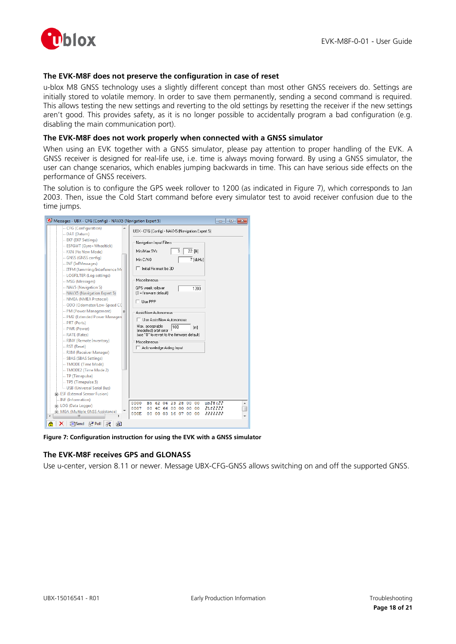

### **The EVK-M8F does not preserve the configuration in case of reset**

u-blox M8 GNSS technology uses a slightly different concept than most other GNSS receivers do. Settings are initially stored to volatile memory. In order to save them permanently, sending a second command is required. This allows testing the new settings and reverting to the old settings by resetting the receiver if the new settings aren't good. This provides safety, as it is no longer possible to accidentally program a bad configuration (e.g. disabling the main communication port).

### **The EVK-M8F does not work properly when connected with a GNSS simulator**

When using an EVK together with a GNSS simulator, please pay attention to proper handling of the EVK. A GNSS receiver is designed for real-life use, i.e. time is always moving forward. By using a GNSS simulator, the user can change scenarios, which enables jumping backwards in time. This can have serious side effects on the performance of GNSS receivers.

The solution is to configure the GPS week rollover to 1200 (as indicated in [Figure 7\)](#page-17-0), which corresponds to Jan 2003. Then, issue the Cold Start command before every simulator test to avoid receiver confusion due to the time jumps.



**Figure 7: Configuration instruction for using the EVK with a GNSS simulator**

### <span id="page-17-0"></span>**The EVK-M8F receives GPS and GLONASS**

Use u-center, version 8.11 or newer. Message UBX-CFG-GNSS allows switching on and off the supported GNSS.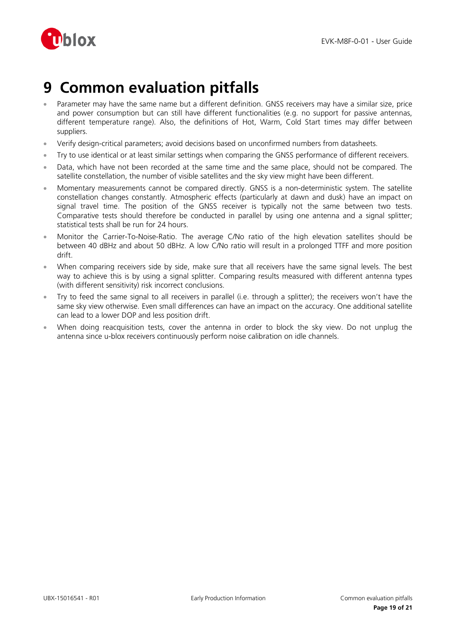

# <span id="page-18-0"></span>**9 Common evaluation pitfalls**

- Parameter may have the same name but a different definition. GNSS receivers may have a similar size, price and power consumption but can still have different functionalities (e.g. no support for passive antennas, different temperature range). Also, the definitions of Hot, Warm, Cold Start times may differ between suppliers.
- Verify design-critical parameters; avoid decisions based on unconfirmed numbers from datasheets.
- Try to use identical or at least similar settings when comparing the GNSS performance of different receivers.
- Data, which have not been recorded at the same time and the same place, should not be compared. The satellite constellation, the number of visible satellites and the sky view might have been different.
- Momentary measurements cannot be compared directly. GNSS is a non-deterministic system. The satellite constellation changes constantly. Atmospheric effects (particularly at dawn and dusk) have an impact on signal travel time. The position of the GNSS receiver is typically not the same between two tests. Comparative tests should therefore be conducted in parallel by using one antenna and a signal splitter; statistical tests shall be run for 24 hours.
- Monitor the Carrier-To-Noise-Ratio. The average C/No ratio of the high elevation satellites should be between 40 dBHz and about 50 dBHz. A low C/No ratio will result in a prolonged TTFF and more position drift.
- When comparing receivers side by side, make sure that all receivers have the same signal levels. The best way to achieve this is by using a signal splitter. Comparing results measured with different antenna types (with different sensitivity) risk incorrect conclusions.
- Try to feed the same signal to all receivers in parallel (i.e. through a splitter); the receivers won't have the same sky view otherwise. Even small differences can have an impact on the accuracy. One additional satellite can lead to a lower DOP and less position drift.
- When doing reacquisition tests, cover the antenna in order to block the sky view. Do not unplug the antenna since u-blox receivers continuously perform noise calibration on idle channels.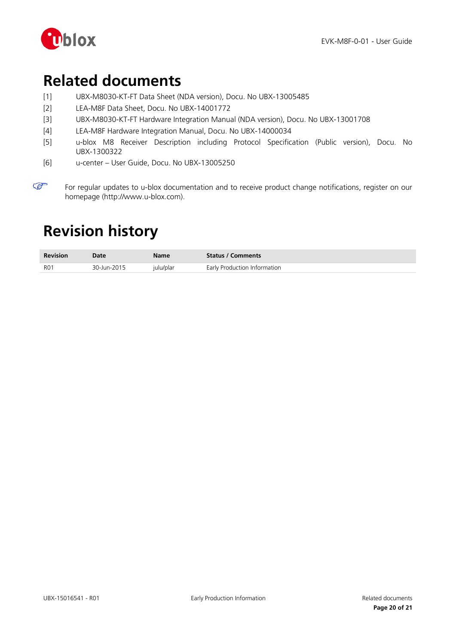

# <span id="page-19-0"></span>**Related documents**

- [1] UBX-M8030-KT-FT Data Sheet (NDA version), Docu. No UBX-13005485
- <span id="page-19-3"></span>[2] LEA-M8F Data Sheet, Docu. No UBX-14001772
- [3] UBX-M8030-KT-FT Hardware Integration Manual (NDA version), Docu. No UBX-13001708
- <span id="page-19-4"></span>[4] LEA-M8F Hardware Integration Manual, Docu. No UBX-14000034
- <span id="page-19-5"></span>[5] u-blox M8 Receiver Description including Protocol Specification (Public version), Docu. No UBX-1300322
- <span id="page-19-2"></span>[6] u-center – User Guide, Docu. No UBX-13005250

# <span id="page-19-1"></span>**Revision history**

| <b>Revision</b> | <b>Date</b> | Name      | <b>Status / Comments</b>     |
|-----------------|-------------|-----------|------------------------------|
| <b>RO1</b>      | 30-Jun-2015 | julu/plar | Early Production Information |

 $\mathbb{Q}$ For regular updates to u-blox documentation and to receive product change notifications, register on our homepage (http://www.u-blox.com).